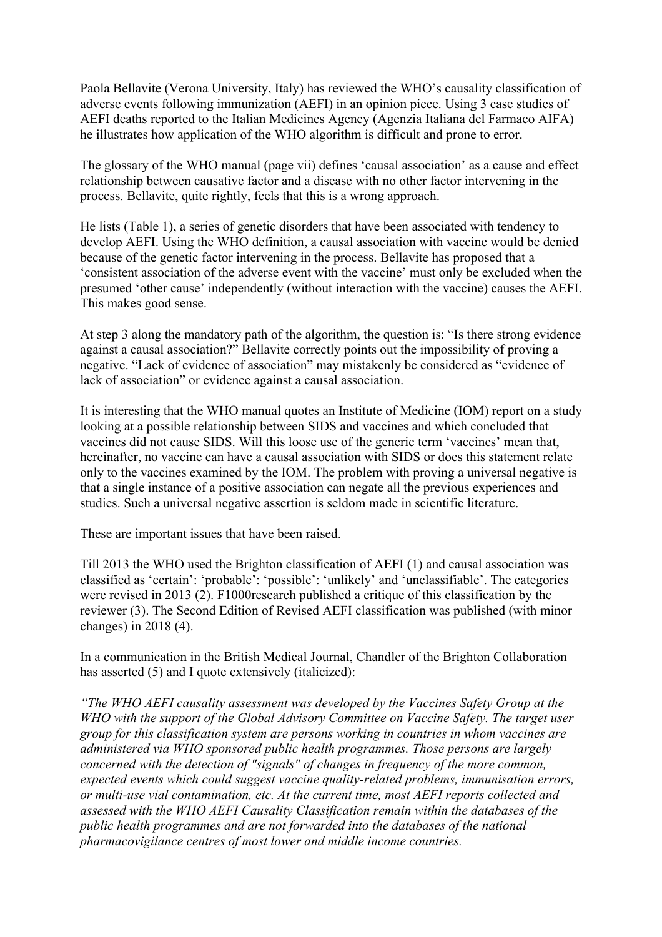Paola Bellavite (Verona University, Italy) has reviewed the WHO's causality classification of adverse events following immunization (AEFI) in an opinion piece. Using 3 case studies of AEFI deaths reported to the Italian Medicines Agency (Agenzia Italiana del Farmaco AIFA) he illustrates how application of the WHO algorithm is difficult and prone to error.

The glossary of the WHO manual (page vii) defines 'causal association' as a cause and effect relationship between causative factor and a disease with no other factor intervening in the process. Bellavite, quite rightly, feels that this is a wrong approach.

He lists (Table 1), a series of genetic disorders that have been associated with tendency to develop AEFI. Using the WHO definition, a causal association with vaccine would be denied because of the genetic factor intervening in the process. Bellavite has proposed that a 'consistent association of the adverse event with the vaccine' must only be excluded when the presumed 'other cause' independently (without interaction with the vaccine) causes the AEFI. This makes good sense.

At step 3 along the mandatory path of the algorithm, the question is: "Is there strong evidence against a causal association?" Bellavite correctly points out the impossibility of proving a negative. "Lack of evidence of association" may mistakenly be considered as "evidence of lack of association" or evidence against a causal association.

It is interesting that the WHO manual quotes an Institute of Medicine (IOM) report on a study looking at a possible relationship between SIDS and vaccines and which concluded that vaccines did not cause SIDS. Will this loose use of the generic term 'vaccines' mean that, hereinafter, no vaccine can have a causal association with SIDS or does this statement relate only to the vaccines examined by the IOM. The problem with proving a universal negative is that a single instance of a positive association can negate all the previous experiences and studies. Such a universal negative assertion is seldom made in scientific literature.

These are important issues that have been raised.

Till 2013 the WHO used the Brighton classification of AEFI (1) and causal association was classified as 'certain': 'probable': 'possible': 'unlikely' and 'unclassifiable'. The categories were revised in 2013 (2). F1000research published a critique of this classification by the reviewer (3). The Second Edition of Revised AEFI classification was published (with minor changes) in 2018 (4).

In a communication in the British Medical Journal, Chandler of the Brighton Collaboration has asserted (5) and I quote extensively (italicized):

*"The WHO AEFI causality assessment was developed by the Vaccines Safety Group at the WHO with the support of the Global Advisory Committee on Vaccine Safety. The target user group for this classification system are persons working in countries in whom vaccines are administered via WHO sponsored public health programmes. Those persons are largely concerned with the detection of "signals" of changes in frequency of the more common, expected events which could suggest vaccine quality-related problems, immunisation errors, or multi-use vial contamination, etc. At the current time, most AEFI reports collected and assessed with the WHO AEFI Causality Classification remain within the databases of the public health programmes and are not forwarded into the databases of the national pharmacovigilance centres of most lower and middle income countries.*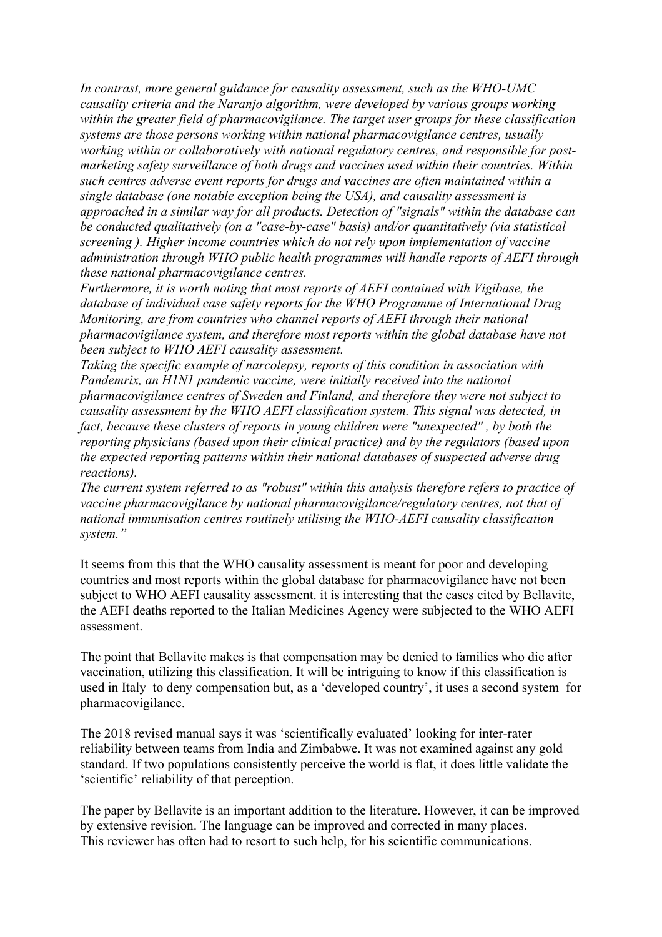*In contrast, more general guidance for causality assessment, such as the WHO-UMC causality criteria and the Naranjo algorithm, were developed by various groups working within the greater field of pharmacovigilance. The target user groups for these classification systems are those persons working within national pharmacovigilance centres, usually working within or collaboratively with national regulatory centres, and responsible for postmarketing safety surveillance of both drugs and vaccines used within their countries. Within such centres adverse event reports for drugs and vaccines are often maintained within a single database (one notable exception being the USA), and causality assessment is approached in a similar way for all products. Detection of "signals" within the database can be conducted qualitatively (on a "case-by-case" basis) and/or quantitatively (via statistical screening ). Higher income countries which do not rely upon implementation of vaccine administration through WHO public health programmes will handle reports of AEFI through these national pharmacovigilance centres.*

*Furthermore, it is worth noting that most reports of AEFI contained with Vigibase, the database of individual case safety reports for the WHO Programme of International Drug Monitoring, are from countries who channel reports of AEFI through their national pharmacovigilance system, and therefore most reports within the global database have not been subject to WHO AEFI causality assessment.*

*Taking the specific example of narcolepsy, reports of this condition in association with Pandemrix, an H1N1 pandemic vaccine, were initially received into the national pharmacovigilance centres of Sweden and Finland, and therefore they were not subject to causality assessment by the WHO AEFI classification system. This signal was detected, in fact, because these clusters of reports in young children were "unexpected" , by both the reporting physicians (based upon their clinical practice) and by the regulators (based upon the expected reporting patterns within their national databases of suspected adverse drug reactions).*

*The current system referred to as "robust" within this analysis therefore refers to practice of vaccine pharmacovigilance by national pharmacovigilance/regulatory centres, not that of national immunisation centres routinely utilising the WHO-AEFI causality classification system."*

It seems from this that the WHO causality assessment is meant for poor and developing countries and most reports within the global database for pharmacovigilance have not been subject to WHO AEFI causality assessment. it is interesting that the cases cited by Bellavite, the AEFI deaths reported to the Italian Medicines Agency were subjected to the WHO AEFI assessment.

The point that Bellavite makes is that compensation may be denied to families who die after vaccination, utilizing this classification. It will be intriguing to know if this classification is used in Italy to deny compensation but, as a 'developed country', it uses a second system for pharmacovigilance.

The 2018 revised manual says it was 'scientifically evaluated' looking for inter-rater reliability between teams from India and Zimbabwe. It was not examined against any gold standard. If two populations consistently perceive the world is flat, it does little validate the 'scientific' reliability of that perception.

The paper by Bellavite is an important addition to the literature. However, it can be improved by extensive revision. The language can be improved and corrected in many places. This reviewer has often had to resort to such help, for his scientific communications.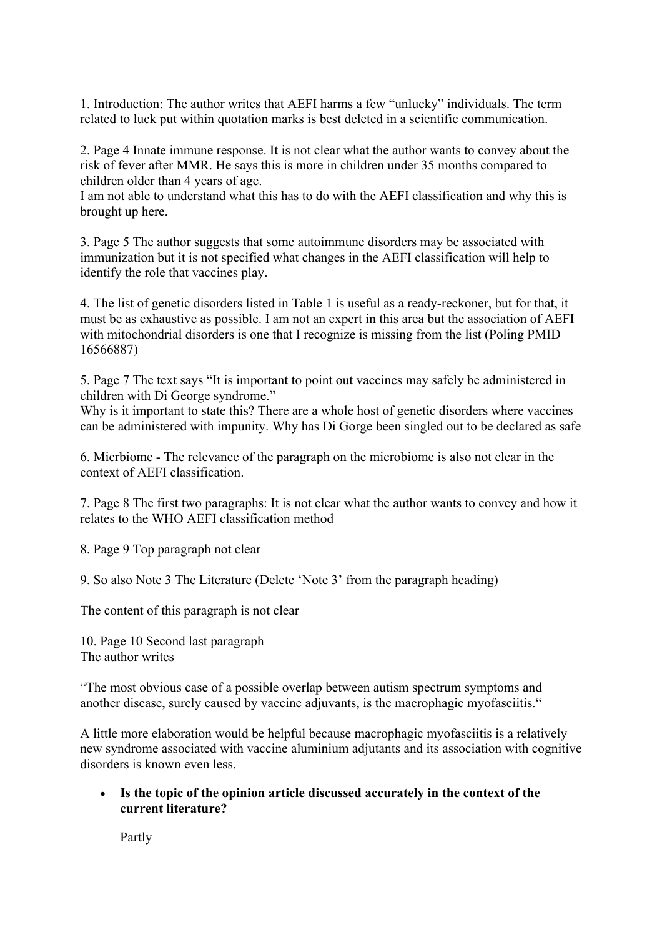1. Introduction: The author writes that AEFI harms a few "unlucky" individuals. The term related to luck put within quotation marks is best deleted in a scientific communication.

2. Page 4 Innate immune response. It is not clear what the author wants to convey about the risk of fever after MMR. He says this is more in children under 35 months compared to children older than 4 years of age.

I am not able to understand what this has to do with the AEFI classification and why this is brought up here.

3. Page 5 The author suggests that some autoimmune disorders may be associated with immunization but it is not specified what changes in the AEFI classification will help to identify the role that vaccines play.

4. The list of genetic disorders listed in Table 1 is useful as a ready-reckoner, but for that, it must be as exhaustive as possible. I am not an expert in this area but the association of AEFI with mitochondrial disorders is one that I recognize is missing from the list (Poling PMID 16566887)

5. Page 7 The text says "It is important to point out vaccines may safely be administered in children with Di George syndrome."

Why is it important to state this? There are a whole host of genetic disorders where vaccines can be administered with impunity. Why has Di Gorge been singled out to be declared as safe

6. Micrbiome - The relevance of the paragraph on the microbiome is also not clear in the context of AEFI classification.

7. Page 8 The first two paragraphs: It is not clear what the author wants to convey and how it relates to the WHO AEFI classification method

8. Page 9 Top paragraph not clear

9. So also Note 3 The Literature (Delete 'Note 3' from the paragraph heading)

The content of this paragraph is not clear

10. Page 10 Second last paragraph The author writes

"The most obvious case of a possible overlap between autism spectrum symptoms and another disease, surely caused by vaccine adjuvants, is the macrophagic myofasciitis."

A little more elaboration would be helpful because macrophagic myofasciitis is a relatively new syndrome associated with vaccine aluminium adjutants and its association with cognitive disorders is known even less.

• **Is the topic of the opinion article discussed accurately in the context of the current literature?**

Partly